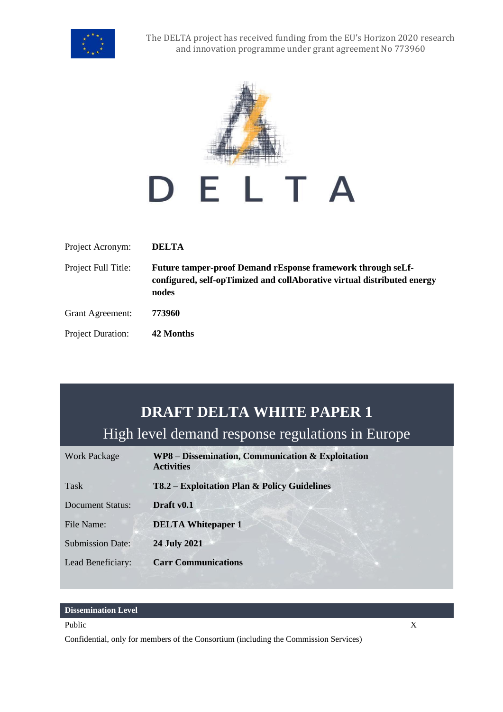



| Project Acronym:         | <b>DELTA</b>                                                                                                                                    |  |
|--------------------------|-------------------------------------------------------------------------------------------------------------------------------------------------|--|
| Project Full Title:      | Future tamper-proof Demand rEsponse framework through seLf-<br>configured, self-opTimized and collAborative virtual distributed energy<br>nodes |  |
| <b>Grant Agreement:</b>  | 773960                                                                                                                                          |  |
| <b>Project Duration:</b> | 42 Months                                                                                                                                       |  |

# **DRAFT DELTA WHITE PAPER 1**

High level demand response regulations in Europe

| Work Package            | <b>WP8</b> – Dissemination, Communication & Exploitation<br><b>Activities</b> |  |  |
|-------------------------|-------------------------------------------------------------------------------|--|--|
| Task                    | T8.2 – Exploitation Plan & Policy Guidelines                                  |  |  |
| Document Status:        | Draft $v0.1$                                                                  |  |  |
| File Name:              | <b>DELTA Whitepaper 1</b>                                                     |  |  |
| <b>Submission Date:</b> | 24 July 2021                                                                  |  |  |
| Lead Beneficiary:       | <b>Carr Communications</b>                                                    |  |  |

#### **Dissemination Level**

#### Public X and  $\overline{X}$  and  $\overline{X}$  and  $\overline{X}$  and  $\overline{X}$  and  $\overline{X}$  and  $\overline{X}$  and  $\overline{X}$  and  $\overline{X}$  and  $\overline{X}$  and  $\overline{X}$  and  $\overline{X}$  and  $\overline{X}$  and  $\overline{X}$  and  $\overline{X}$  and  $\overline{X}$  and  $\overline{X}$  and

Confidential, only for members of the Consortium (including the Commission Services)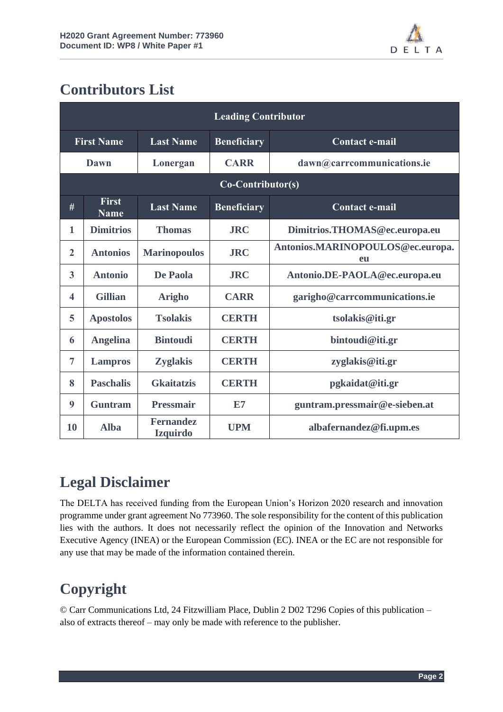

## **Contributors List**

| <b>Leading Contributor</b> |                             |                                     |                    |                                        |  |  |
|----------------------------|-----------------------------|-------------------------------------|--------------------|----------------------------------------|--|--|
| <b>First Name</b>          |                             | <b>Last Name</b>                    | <b>Beneficiary</b> | Contact e-mail                         |  |  |
| Dawn                       |                             | Lonergan                            | <b>CARR</b>        | dawn@carrcommunications.ie             |  |  |
| Co-Contributor(s)          |                             |                                     |                    |                                        |  |  |
| #                          | <b>First</b><br><b>Name</b> | <b>Last Name</b>                    | <b>Beneficiary</b> | <b>Contact e-mail</b>                  |  |  |
| 1                          | <b>Dimitrios</b>            | <b>Thomas</b>                       | <b>JRC</b>         | Dimitrios.THOMAS@ec.europa.eu          |  |  |
| $\overline{2}$             | <b>Antonios</b>             | <b>Marinopoulos</b>                 | <b>JRC</b>         | Antonios.MARINOPOULOS@ec.europa.<br>eu |  |  |
| 3                          | <b>Antonio</b>              | De Paola                            | <b>JRC</b>         | Antonio.DE-PAOLA@ec.europa.eu          |  |  |
| $\overline{\mathbf{4}}$    | <b>Gillian</b>              | <b>Arigho</b>                       | <b>CARR</b>        | garigho@carrcommunications.ie          |  |  |
| 5                          | <b>Apostolos</b>            | <b>Tsolakis</b>                     | <b>CERTH</b>       | tsolakis@iti.gr                        |  |  |
| 6                          | <b>Angelina</b>             | <b>Bintoudi</b>                     | <b>CERTH</b>       | bintoudi@iti.gr                        |  |  |
| $\overline{7}$             | <b>Lampros</b>              | <b>Zyglakis</b>                     | <b>CERTH</b>       | zyglakis@iti.gr                        |  |  |
| 8                          | <b>Paschalis</b>            | <b>Gkaitatzis</b>                   | <b>CERTH</b>       | pgkaidat@iti.gr                        |  |  |
| 9                          | <b>Guntram</b>              | <b>Pressmair</b>                    | E7                 | guntram.pressmair@e-sieben.at          |  |  |
| 10                         | <b>Alba</b>                 | <b>Fernandez</b><br><b>Izquirdo</b> | <b>UPM</b>         | albafernandez@fi.upm.es                |  |  |

## **Legal Disclaimer**

The DELTA has received funding from the European Union's Horizon 2020 research and innovation programme under grant agreement No 773960. The sole responsibility for the content of this publication lies with the authors. It does not necessarily reflect the opinion of the Innovation and Networks Executive Agency (INEA) or the European Commission (EC). INEA or the EC are not responsible for any use that may be made of the information contained therein.

# **Copyright**

© Carr Communications Ltd, 24 Fitzwilliam Place, Dublin 2 D02 T296 Copies of this publication – also of extracts thereof – may only be made with reference to the publisher.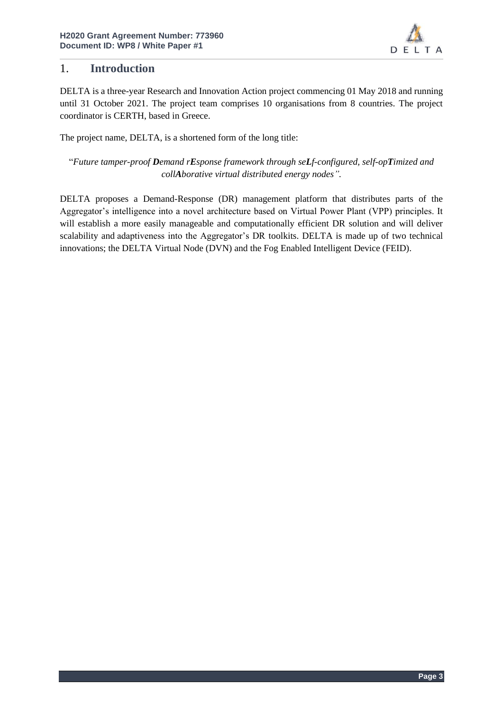

### 1. **Introduction**

DELTA is a three-year Research and Innovation Action project commencing 01 May 2018 and running until 31 October 2021. The project team comprises 10 organisations from 8 countries. The project coordinator is CERTH, based in Greece.

The project name, DELTA, is a shortened form of the long title:

"*Future tamper-proof Demand rEsponse framework through seLf-configured, self-opTimized and collAborative virtual distributed energy nodes".*

DELTA proposes a Demand-Response (DR) management platform that distributes parts of the Aggregator's intelligence into a novel architecture based on Virtual Power Plant (VPP) principles. It will establish a more easily manageable and computationally efficient DR solution and will deliver scalability and adaptiveness into the Aggregator's DR toolkits. DELTA is made up of two technical innovations; the DELTA Virtual Node (DVN) and the Fog Enabled Intelligent Device (FEID).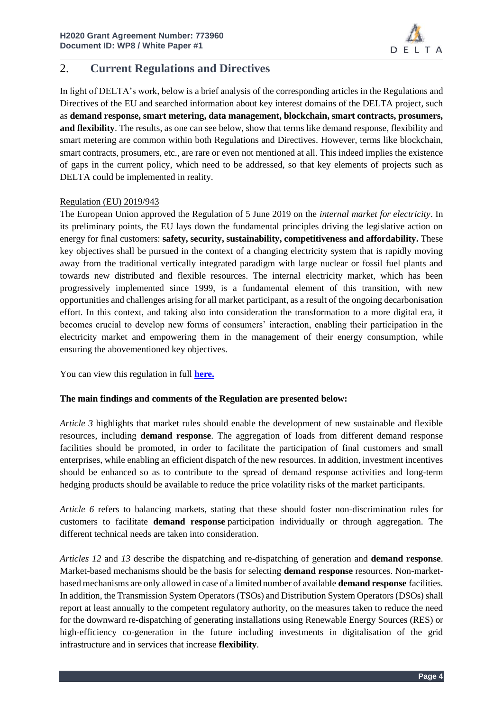

## 2. **Current Regulations and Directives**

In light of DELTA's work, below is a brief analysis of the corresponding articles in the Regulations and Directives of the EU and searched information about key interest domains of the DELTA project, such as **demand response, smart metering, data management, blockchain, smart contracts, prosumers, and flexibility**. The results, as one can see below, show that terms like demand response, flexibility and smart metering are common within both Regulations and Directives. However, terms like blockchain, smart contracts, prosumers, etc., are rare or even not mentioned at all. This indeed implies the existence of gaps in the current policy, which need to be addressed, so that key elements of projects such as DELTA could be implemented in reality.

#### Regulation (EU) 2019/943

The European Union approved the Regulation of 5 June 2019 on the *internal market for electricity*. In its preliminary points, the EU lays down the fundamental principles driving the legislative action on energy for final customers: **safety, security, sustainability, competitiveness and affordability.** These key objectives shall be pursued in the context of a changing electricity system that is rapidly moving away from the traditional vertically integrated paradigm with large nuclear or fossil fuel plants and towards new distributed and flexible resources. The internal electricity market, which has been progressively implemented since 1999, is a fundamental element of this transition, with new opportunities and challenges arising for all market participant, as a result of the ongoing decarbonisation effort. In this context, and taking also into consideration the transformation to a more digital era, it becomes crucial to develop new forms of consumers' interaction, enabling their participation in the electricity market and empowering them in the management of their energy consumption, while ensuring the abovementioned key objectives.

You can view this regulation in full **[here.](https://eur-lex.europa.eu/legal-content/EN/TXT/?uri=CELEX%3A32019R0943)**

#### **The main findings and comments of the Regulation are presented below:**

*Article 3* highlights that market rules should enable the development of new sustainable and flexible resources, including **demand response**. The aggregation of loads from different demand response facilities should be promoted, in order to facilitate the participation of final customers and small enterprises, while enabling an efficient dispatch of the new resources. In addition, investment incentives should be enhanced so as to contribute to the spread of demand response activities and long-term hedging products should be available to reduce the price volatility risks of the market participants.

*Article 6* refers to balancing markets, stating that these should foster non-discrimination rules for customers to facilitate **demand response** participation individually or through aggregation. The different technical needs are taken into consideration.

*Articles 12* and *13* describe the dispatching and re-dispatching of generation and **demand response**. Market-based mechanisms should be the basis for selecting **demand response** resources. Non-marketbased mechanisms are only allowed in case of a limited number of available **demand response** facilities. In addition, the Transmission System Operators(TSOs) and Distribution System Operators (DSOs) shall report at least annually to the competent regulatory authority, on the measures taken to reduce the need for the downward re-dispatching of generating installations using Renewable Energy Sources (RES) or high-efficiency co-generation in the future including investments in digitalisation of the grid infrastructure and in services that increase **flexibility**.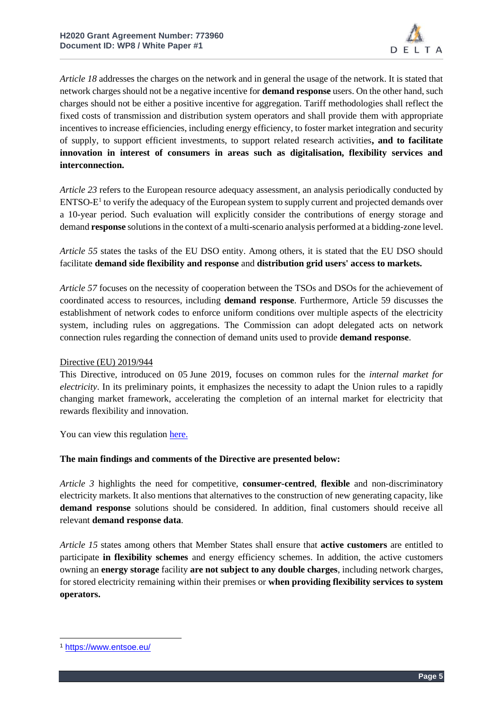

*Article 18* addresses the charges on the network and in general the usage of the network. It is stated that network charges should not be a negative incentive for **demand response** users. On the other hand, such charges should not be either a positive incentive for aggregation. Tariff methodologies shall reflect the fixed costs of transmission and distribution system operators and shall provide them with appropriate incentives to increase efficiencies, including energy efficiency, to foster market integration and security of supply, to support efficient investments, to support related research activities**, and to facilitate innovation in interest of consumers in areas such as digitalisation, flexibility services and interconnection.**

*Article 23* refers to the European resource adequacy assessment, an analysis periodically conducted by  $ENTSO-E<sup>1</sup>$  to verify the adequacy of the European system to supply current and projected demands over a 10-year period. Such evaluation will explicitly consider the contributions of energy storage and demand **response** solutionsin the context of a multi-scenario analysis performed at a bidding-zone level.

*Article 55* states the tasks of the EU DSO entity. Among others, it is stated that the EU DSO should facilitate **demand side flexibility and response** and **distribution grid users' access to markets.**

*Article 57* focuses on the necessity of cooperation between the TSOs and DSOs for the achievement of coordinated access to resources, including **demand response**. Furthermore, Article 59 discusses the establishment of network codes to enforce uniform conditions over multiple aspects of the electricity system, including rules on aggregations. The Commission can adopt delegated acts on network connection rules regarding the connection of demand units used to provide **demand response**.

#### Directive (EU) 2019/944

This Directive, introduced on 05 June 2019, focuses on common rules for the *internal market for electricity*. In its preliminary points, it emphasizes the necessity to adapt the Union rules to a rapidly changing market framework, accelerating the completion of an internal market for electricity that rewards flexibility and innovation.

You can view this regulation [here.](https://eur-lex.europa.eu/legal-content/EN/TXT/?uri=CELEX%3A32019L0944)

#### **The main findings and comments of the Directive are presented below:**

*Article 3* highlights the need for competitive, **consumer-centred**, **flexible** and non-discriminatory electricity markets. It also mentions that alternatives to the construction of new generating capacity, like **demand response** solutions should be considered. In addition, final customers should receive all relevant **demand response data**.

*Article 15* states among others that Member States shall ensure that **active customers** are entitled to participate **in flexibility schemes** and energy efficiency schemes. In addition, the active customers owning an **energy storage** facility **are not subject to any double charges**, including network charges, for stored electricity remaining within their premises or **when providing flexibility services to system operators.**

<sup>1</sup> <https://www.entsoe.eu/>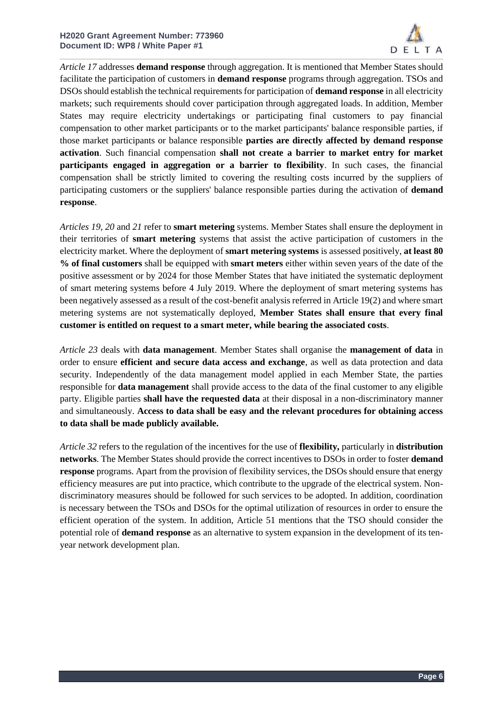

*Article 17* addresses **demand response** through aggregation. It is mentioned that Member States should facilitate the participation of customers in **demand response** programs through aggregation. TSOs and DSOs should establish the technical requirements for participation of **demand response** in all electricity markets; such requirements should cover participation through aggregated loads. In addition, Member States may require electricity undertakings or participating final customers to pay financial compensation to other market participants or to the market participants' balance responsible parties, if those market participants or balance responsible **parties are directly affected by demand response activation**. Such financial compensation **shall not create a barrier to market entry for market participants engaged in aggregation or a barrier to flexibility**. In such cases, the financial compensation shall be strictly limited to covering the resulting costs incurred by the suppliers of participating customers or the suppliers' balance responsible parties during the activation of **demand response**.

*Articles 19, 20* and *21* refer to **smart metering** systems. Member States shall ensure the deployment in their territories of **smart metering** systems that assist the active participation of customers in the electricity market. Where the deployment of **smart metering systems** is assessed positively, **at least 80 % of final customers** shall be equipped with **smart meters** either within seven years of the date of the positive assessment or by 2024 for those Member States that have initiated the systematic deployment of smart metering systems before 4 July 2019. Where the deployment of smart metering systems has been negatively assessed as a result of the cost-benefit analysis referred in Article 19(2) and where smart metering systems are not systematically deployed, **Member States shall ensure that every final customer is entitled on request to a smart meter, while bearing the associated costs**.

*Article 23* deals with **data management**. Member States shall organise the **management of data** in order to ensure **efficient and secure data access and exchange**, as well as data protection and data security. Independently of the data management model applied in each Member State, the parties responsible for **data management** shall provide access to the data of the final customer to any eligible party. Eligible parties **shall have the requested data** at their disposal in a non-discriminatory manner and simultaneously. **Access to data shall be easy and the relevant procedures for obtaining access to data shall be made publicly available.**

*Article 32* refers to the regulation of the incentives for the use of **flexibility,** particularly in **distribution networks**. The Member States should provide the correct incentives to DSOs in order to foster **demand response** programs. Apart from the provision of flexibility services, the DSOs should ensure that energy efficiency measures are put into practice, which contribute to the upgrade of the electrical system. Nondiscriminatory measures should be followed for such services to be adopted. In addition, coordination is necessary between the TSOs and DSOs for the optimal utilization of resources in order to ensure the efficient operation of the system. In addition, Article 51 mentions that the TSO should consider the potential role of **demand response** as an alternative to system expansion in the development of its tenyear network development plan.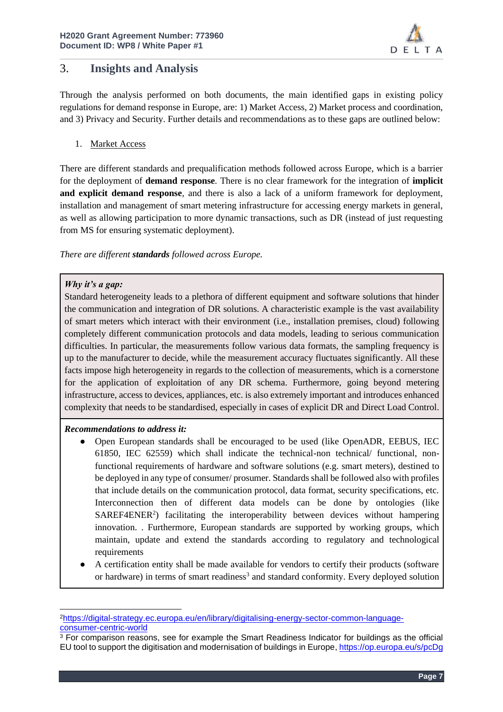

## 3. **Insights and Analysis**

Through the analysis performed on both documents, the main identified gaps in existing policy regulations for demand response in Europe, are: 1) Market Access, 2) Market process and coordination, and 3) Privacy and Security. Further details and recommendations as to these gaps are outlined below:

#### 1. Market Access

There are different standards and prequalification methods followed across Europe, which is a barrier for the deployment of **demand response***.* There is no clear framework for the integration of **implicit and explicit demand response**, and there is also a lack of a uniform framework for deployment, installation and management of smart metering infrastructure for accessing energy markets in general, as well as allowing participation to more dynamic transactions, such as DR (instead of just requesting from MS for ensuring systematic deployment).

*There are different standards followed across Europe.*

#### *Why it's a gap:*

Standard heterogeneity leads to a plethora of different equipment and software solutions that hinder the communication and integration of DR solutions. A characteristic example is the vast availability of smart meters which interact with their environment (i.e., installation premises, cloud) following completely different communication protocols and data models, leading to serious communication difficulties. In particular, the measurements follow various data formats, the sampling frequency is up to the manufacturer to decide, while the measurement accuracy fluctuates significantly. All these facts impose high heterogeneity in regards to the collection of measurements, which is a cornerstone for the application of exploitation of any DR schema. Furthermore, going beyond metering infrastructure, access to devices, appliances, etc. is also extremely important and introduces enhanced complexity that needs to be standardised, especially in cases of explicit DR and Direct Load Control.

#### *Recommendations to address it:*

- Open European standards shall be encouraged to be used (like OpenADR, EEBUS, IEC 61850, IEC 62559) which shall indicate the technical-non technical/ functional, nonfunctional requirements of hardware and software solutions (e.g. smart meters), destined to be deployed in any type of consumer/ prosumer. Standards shall be followed also with profiles that include details on the communication protocol, data format, security specifications, etc. Interconnection then of different data models can be done by ontologies (like SAREF4ENER<sup>2</sup>) facilitating the interoperability between devices without hampering innovation. . Furthermore, European standards are supported by working groups, which maintain, update and extend the standards according to regulatory and technological requirements
- A certification entity shall be made available for vendors to certify their products (software or hardware) in terms of smart readiness<sup>3</sup> and standard conformity. Every deployed solution

<sup>2</sup>[https://digital-strategy.ec.europa.eu/en/library/digitalising-energy-sector-common-language](https://digital-strategy.ec.europa.eu/en/library/digitalising-energy-sector-common-language-consumer-centric-world)[consumer-centric-world](https://digital-strategy.ec.europa.eu/en/library/digitalising-energy-sector-common-language-consumer-centric-world)

 $3$  For comparison reasons, see for example the Smart Readiness Indicator for buildings as the official EU tool to support the digitisation and modernisation of buildings in Europe[, https://op.europa.eu/s/pcDg](https://op.europa.eu/s/pcDg)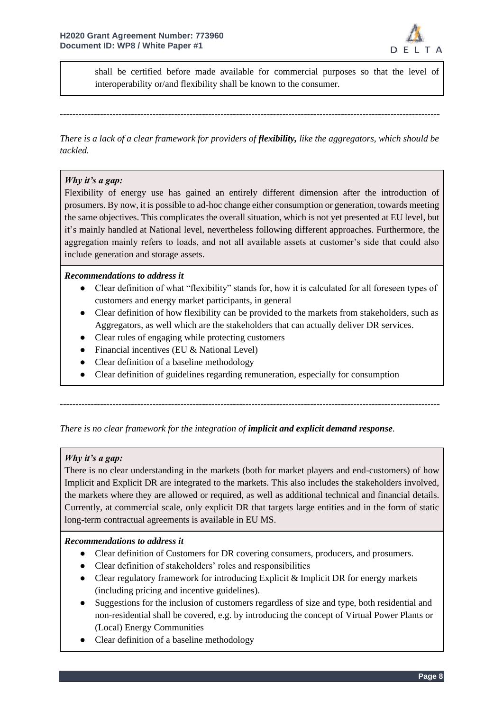

shall be certified before made available for commercial purposes so that the level of interoperability or/and flexibility shall be known to the consumer.

*There is a lack of a clear framework for providers of flexibility, like the aggregators, which should be tackled.*

*---------------------------------------------------------------------------------------------------------------------------*

#### *Why it's a gap:*

Flexibility of energy use has gained an entirely different dimension after the introduction of prosumers. By now, it is possible to ad-hoc change either consumption or generation, towards meeting the same objectives. This complicates the overall situation, which is not yet presented at EU level, but it's mainly handled at National level, nevertheless following different approaches. Furthermore, the aggregation mainly refers to loads, and not all available assets at customer's side that could also include generation and storage assets.

#### *Recommendations to address it*

- Clear definition of what "flexibility" stands for, how it is calculated for all foreseen types of customers and energy market participants, in general
- Clear definition of how flexibility can be provided to the markets from stakeholders, such as Aggregators, as well which are the stakeholders that can actually deliver DR services.
- Clear rules of engaging while protecting customers
- Financial incentives (EU & National Level)
- Clear definition of a baseline methodology
- Clear definition of guidelines regarding remuneration, especially for consumption

*---------------------------------------------------------------------------------------------------------------------------*

*There is no clear framework for the integration of implicit and explicit demand response.* 

#### *Why it's a gap:*

There is no clear understanding in the markets (both for market players and end-customers) of how Implicit and Explicit DR are integrated to the markets. This also includes the stakeholders involved, the markets where they are allowed or required, as well as additional technical and financial details. Currently, at commercial scale, only explicit DR that targets large entities and in the form of static long-term contractual agreements is available in EU MS.

#### *Recommendations to address it*

- Clear definition of Customers for DR covering consumers, producers, and prosumers.
- Clear definition of stakeholders' roles and responsibilities
- Clear regulatory framework for introducing Explicit & Implicit DR for energy markets (including pricing and incentive guidelines).
- Suggestions for the inclusion of customers regardless of size and type, both residential and non-residential shall be covered, e.g. by introducing the concept of Virtual Power Plants or (Local) Energy Communities
- Clear definition of a baseline methodology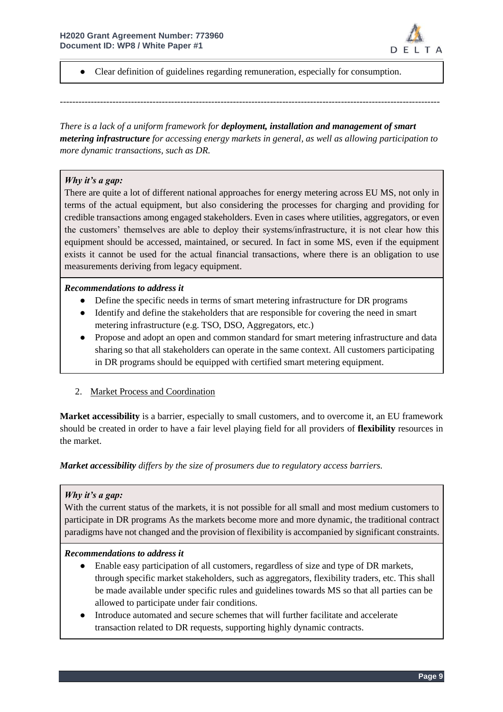

● Clear definition of guidelines regarding remuneration, especially for consumption.

*There is a lack of a uniform framework for deployment, installation and management of smart metering infrastructure for accessing energy markets in general, as well as allowing participation to more dynamic transactions, such as DR.*

*---------------------------------------------------------------------------------------------------------------------------*

#### *Why it's a gap:*

There are quite a lot of different national approaches for energy metering across EU MS, not only in terms of the actual equipment, but also considering the processes for charging and providing for credible transactions among engaged stakeholders. Even in cases where utilities, aggregators, or even the customers' themselves are able to deploy their systems/infrastructure, it is not clear how this equipment should be accessed, maintained, or secured. In fact in some MS, even if the equipment exists it cannot be used for the actual financial transactions, where there is an obligation to use measurements deriving from legacy equipment.

#### *Recommendations to address it*

- Define the specific needs in terms of smart metering infrastructure for DR programs
- Identify and define the stakeholders that are responsible for covering the need in smart metering infrastructure (e.g. TSO, DSO, Aggregators, etc.)
- Propose and adopt an open and common standard for smart metering infrastructure and data sharing so that all stakeholders can operate in the same context. All customers participating in DR programs should be equipped with certified smart metering equipment.
- 2. Market Process and Coordination

**Market accessibility** is a barrier, especially to small customers, and to overcome it, an EU framework should be created in order to have a fair level playing field for all providers of **flexibility** resources in the market.

*Market accessibility differs by the size of prosumers due to regulatory access barriers.*

#### *Why it's a gap:*

With the current status of the markets, it is not possible for all small and most medium customers to participate in DR programs As the markets become more and more dynamic, the traditional contract paradigms have not changed and the provision of flexibility is accompanied by significant constraints.

#### *Recommendations to address it*

- Enable easy participation of all customers, regardless of size and type of DR markets, through specific market stakeholders, such as aggregators, flexibility traders, etc. This shall be made available under specific rules and guidelines towards MS so that all parties can be allowed to participate under fair conditions.
- Introduce automated and secure schemes that will further facilitate and accelerate transaction related to DR requests, supporting highly dynamic contracts.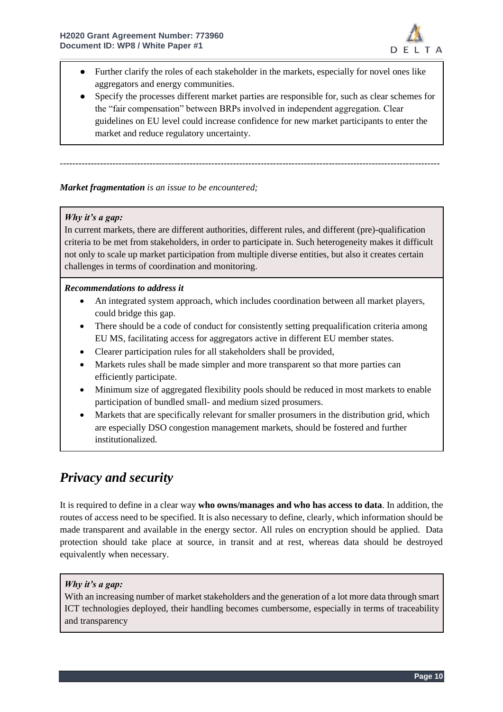

- Further clarify the roles of each stakeholder in the markets, especially for novel ones like aggregators and energy communities.
- Specify the processes different market parties are responsible for, such as clear schemes for the "fair compensation" between BRPs involved in independent aggregation. Clear guidelines on EU level could increase confidence for new market participants to enter the market and reduce regulatory uncertainty.

*Market fragmentation is an issue to be encountered;* 

#### *Why it's a gap:*

In current markets, there are different authorities, different rules, and different (pre)-qualification criteria to be met from stakeholders, in order to participate in. Such heterogeneity makes it difficult not only to scale up market participation from multiple diverse entities, but also it creates certain challenges in terms of coordination and monitoring.

*---------------------------------------------------------------------------------------------------------------------------*

#### *Recommendations to address it*

- An integrated system approach, which includes coordination between all market players, could bridge this gap.
- There should be a code of conduct for consistently setting prequalification criteria among EU MS, facilitating access for aggregators active in different EU member states.
- Clearer participation rules for all stakeholders shall be provided,
- Markets rules shall be made simpler and more transparent so that more parties can efficiently participate.
- Minimum size of aggregated flexibility pools should be reduced in most markets to enable participation of bundled small- and medium sized prosumers.
- Markets that are specifically relevant for smaller prosumers in the distribution grid, which are especially DSO congestion management markets, should be fostered and further institutionalized.

## *Privacy and security*

It is required to define in a clear way **who owns/manages and who has access to data**. In addition, the routes of access need to be specified. It is also necessary to define, clearly, which information should be made transparent and available in the energy sector. All rules on encryption should be applied. Data protection should take place at source, in transit and at rest, whereas data should be destroyed equivalently when necessary.

#### *Why it's a gap:*

With an increasing number of market stakeholders and the generation of a lot more data through smart ICT technologies deployed, their handling becomes cumbersome, especially in terms of traceability and transparency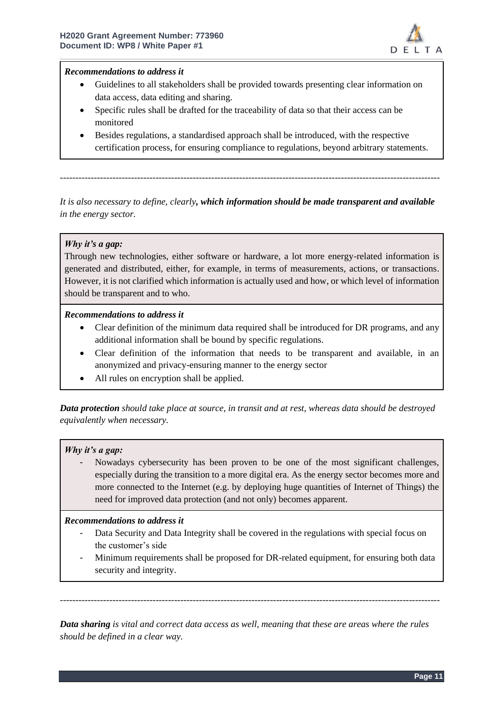

#### *Recommendations to address it*

- Guidelines to all stakeholders shall be provided towards presenting clear information on data access, data editing and sharing.
- Specific rules shall be drafted for the traceability of data so that their access can be monitored
- Besides regulations, a standardised approach shall be introduced, with the respective certification process, for ensuring compliance to regulations, beyond arbitrary statements.

*It is also necessary to define, clearly, which information should be made transparent and available in the energy sector.* 

*---------------------------------------------------------------------------------------------------------------------------*

#### *Why it's a gap:*

Through new technologies, either software or hardware, a lot more energy-related information is generated and distributed, either, for example, in terms of measurements, actions, or transactions. However, it is not clarified which information is actually used and how, or which level of information should be transparent and to who.

#### *Recommendations to address it*

- Clear definition of the minimum data required shall be introduced for DR programs, and any additional information shall be bound by specific regulations.
- Clear definition of the information that needs to be transparent and available, in an anonymized and privacy-ensuring manner to the energy sector
- All rules on encryption shall be applied.

*Data protection should take place at source, in transit and at rest, whereas data should be destroyed equivalently when necessary.* 

#### *Why it's a gap:*

- Nowadays cybersecurity has been proven to be one of the most significant challenges, especially during the transition to a more digital era. As the energy sector becomes more and more connected to the Internet (e.g. by deploying huge quantities of Internet of Things) the need for improved data protection (and not only) becomes apparent.

#### *Recommendations to address it*

- Data Security and Data Integrity shall be covered in the regulations with special focus on the customer's side
- Minimum requirements shall be proposed for DR-related equipment, for ensuring both data security and integrity.

*Data sharing is vital and correct data access as well, meaning that these are areas where the rules should be defined in a clear way.*

*---------------------------------------------------------------------------------------------------------------------------*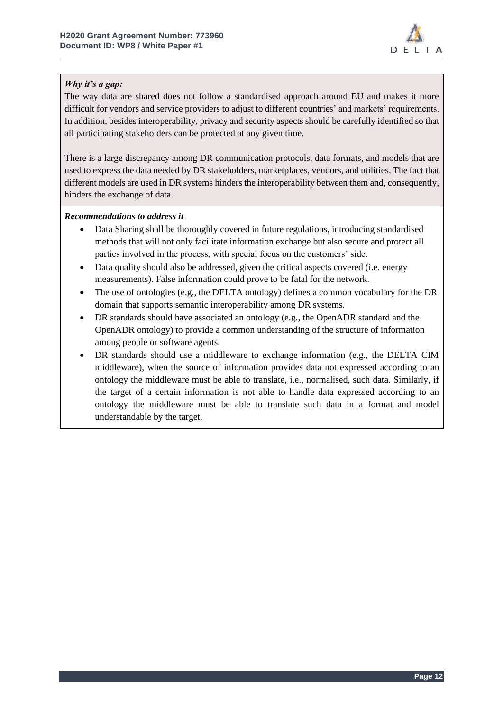

#### *Why it's a gap:*

The way data are shared does not follow a standardised approach around EU and makes it more difficult for vendors and service providers to adjust to different countries' and markets' requirements. In addition, besides interoperability, privacy and security aspects should be carefully identified so that all participating stakeholders can be protected at any given time.

There is a large discrepancy among DR communication protocols, data formats, and models that are used to express the data needed by DR stakeholders, marketplaces, vendors, and utilities. The fact that different models are used in DR systems hinders the interoperability between them and, consequently, hinders the exchange of data.

#### *Recommendations to address it*

- Data Sharing shall be thoroughly covered in future regulations, introducing standardised methods that will not only facilitate information exchange but also secure and protect all parties involved in the process, with special focus on the customers' side.
- Data quality should also be addressed, given the critical aspects covered (i.e. energy measurements). False information could prove to be fatal for the network.
- The use of ontologies (e.g., the DELTA ontology) defines a common vocabulary for the DR domain that supports semantic interoperability among DR systems.
- DR standards should have associated an ontology (e.g., the OpenADR standard and the OpenADR ontology) to provide a common understanding of the structure of information among people or software agents.
- DR standards should use a middleware to exchange information (e.g., the DELTA CIM middleware), when the source of information provides data not expressed according to an ontology the middleware must be able to translate, i.e., normalised, such data. Similarly, if the target of a certain information is not able to handle data expressed according to an ontology the middleware must be able to translate such data in a format and model understandable by the target.